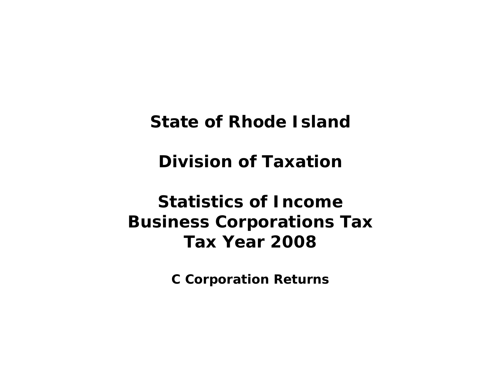**State of Rhode Island** 

**Division of Taxation** 

# **Statistics of Income Business Corporations Tax Tax Year 2008**

**C Corporation Returns**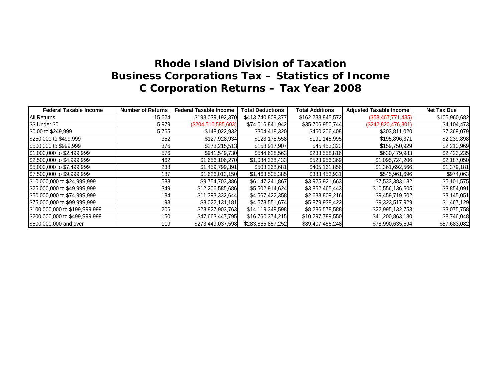| <b>Federal Taxable Income</b>  | <b>Number of Returns</b> | <b>Federal Taxable Income</b> | <b>Total Deductions</b> | <b>Total Additions</b> | <b>Adjusted Taxable Income</b> | <b>Net Tax Due</b> |
|--------------------------------|--------------------------|-------------------------------|-------------------------|------------------------|--------------------------------|--------------------|
| <b>All Returns</b>             | 15,624                   | \$193,039,192,370             | \$413,740,809,377       | \$162,233,845,572      | (\$58,467,771,435)             | \$105,960,682      |
| \$\$ Under \$0                 | 5,979                    | (\$204,510,585,603)           | \$74,016,841,942        | \$35,706,950,744       | $(\$242,820,476,801)$          | \$4,104,473        |
| \$0.00 to \$249,999            | 5,765                    | \$148,022,932                 | \$304,418,320           | \$460,206,408          | \$303,811,020                  | \$7,369,079        |
| \$250,000 to \$499,999         | 352                      | \$127,928,934                 | \$123,178,558           | \$191,145,995          | \$195,896,371                  | \$2,239,898        |
| \$500,000 to \$999,999         | 376                      | \$273,215,513                 | \$158,917,907           | \$45,453,323           | \$159,750,929                  | \$2,210,969        |
| \$1,000,000 to \$2,499,999     | 576                      | \$941,549,730                 | \$544,628,563           | \$233,558,816          | \$630,479,983                  | \$2,423,235        |
| \$2,500,000 to \$4,999,999     | 462                      | \$1,656,106,270               | \$1,084,338,433         | \$523,956,369          | \$1,095,724,206                | \$2,187,050        |
| \$5,000,000 to \$7,499,999     | 238                      | \$1,459,799,391               | \$503,268,681           | \$405,161,856          | \$1,361,692,566                | \$1,379,181        |
| \$7,500,000 to \$9,999,999     | <b>187</b>               | \$1,626,013,150               | \$1,463,505,385         | \$383,453,931          | \$545,961,696                  | \$974,063          |
| \$10,000,000 to \$24,999,999   | 588                      | \$9,754,703,386               | \$6,147,241,867         | \$3,925,921,663        | \$7,533,383,182                | \$5,101,575        |
| \$25,000,000 to \$49,999,999   | 349                      | \$12,206,585,686              | \$5,502,914,624         | \$3,852,465,443        | \$10,556,136,505               | \$3,854,091        |
| \$50,000,000 to \$74,999,999   | 184I                     | \$11,393,332,644              | \$4,567,422,358         | \$2,633,809,216        | \$9,459,719,502                | \$3,145,051        |
| \$75,000,000 to \$99,999,999   | 93                       | \$8,022,131,181               | \$4,578,551,674         | \$5,879,938,422        | \$9,323,517,929                | \$1,467,129        |
| \$100,000,000 to \$199,999,999 | 206                      | \$28,827,903,763              | \$14,119,349,598        | \$8,286,578,588        | \$22,995,132,753               | \$3,075,758        |
| \$200,000,000 to \$499,999,999 | 150                      | \$47,663,447,795              | \$16,760,374,215        | \$10,297,789,550       | \$41,200,863,130               | \$8,746,048        |
| \$500,000,000 and over         | 119                      | \$273,449,037,598             | \$283,865,857,252       | \$89,407,455,248       | \$78,990,635,594               | \$57,683,082       |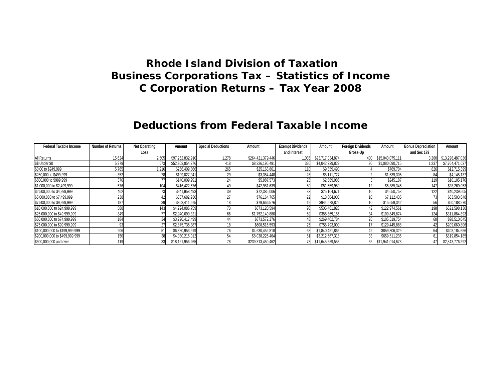#### **Deductions from Federal Taxable Income**

| <b>Federal Taxable Income</b>  | <b>Number of Returns</b> | <b>Net Operating</b> | Amount           | <b>Special Deductions</b> | Amount            | <b>Exempt Dividends</b> | Amount           | <b>Foreign Dividends</b> | Amount           | <b>Bonus Depreciation</b> | Amount           |
|--------------------------------|--------------------------|----------------------|------------------|---------------------------|-------------------|-------------------------|------------------|--------------------------|------------------|---------------------------|------------------|
|                                |                          | Loss                 |                  |                           |                   | and Interest            |                  | Gross-Up                 |                  | and Sec 179               |                  |
| All Returns                    | 15,624                   | 2,605                | \$97,262,832,910 | 1.278                     | \$264,421,379,446 | 1.035                   | \$23,717,034,874 |                          | \$15,043,075,11' | 3,260                     | \$13,296,487,036 |
| \$\$ Under \$0                 | 5,979                    | 573                  | \$52,903,854,276 | 418                       | \$8,226,195,491   |                         | \$4,042,229,823  |                          | \$1,080,090,715  | 1,237                     | \$7,764,471,637  |
| \$0.00 to \$249,999            | 5,765                    | 1.216                | \$256,409,866    | 265                       | \$25,163,861      |                         | \$9,359,490      |                          | \$769,704        | 826                       | \$12,715,399     |
| \$250,000 to \$499,999         | 352                      |                      | \$109,027,941    |                           | \$3,354,448       |                         | \$5,111,727      |                          | \$1,539,305      |                           | \$4,145,137      |
| \$500,000 to \$999,999         | 376                      |                      | \$140,009,991    |                           | \$5,987,573       |                         | \$2,569,986      |                          | \$245,187        |                           | \$10,105,170     |
| \$1,000,000 to \$2,499,999     | 576                      | 104                  | \$416,422,576    |                           | \$42,981,639      |                         | \$51,569,950     |                          | \$5,385,345      | 147                       | \$28,269,053     |
| \$2,500,000 to \$4,999,999     |                          | 73                   | \$941,958,493    |                           | \$72,385,006      |                         | \$25,104,671     |                          | \$4,650,758      | 122                       | \$40,239,505     |
| \$5,000,000 to \$7,499,999     | 238                      |                      | \$337,682,930    |                           | \$76,164,765      |                         | \$18,804,903     |                          | \$7,112,435      |                           | \$63,503,648     |
| \$7,500,000 to \$9,999,999     | 187                      |                      | \$363,411,675    |                           | \$79,666,576      |                         | \$944,578,822    |                          | \$15,659,342     |                           | \$60,188,970     |
| \$10,000,000 to \$24,999,999   | 588                      | 143                  | \$4,224,086,759  |                           | \$673,120,594     |                         | \$505,461,823    |                          | \$122.974.56     | 198                       | \$621,598,130    |
| \$25,000,000 to \$49,999,999   | 349                      |                      | \$2,940,690,321  |                           | \$1,752,140,880   |                         | \$388,369,156    |                          | \$109.849.874    | 124                       | \$311,864,393    |
| \$50,000,000 to \$74,999,999   | 184                      | 34                   | \$3,220,417,499  |                           | \$873,572,276     |                         | \$269,402,784    | 26                       | \$105,519,754    |                           | \$98,510,045     |
| \$75,000,000 to \$99,999,999   |                          | 27                   | \$2,875,735,387  |                           | \$608,516,593     |                         | \$755,793,000    |                          | \$129,445,888    |                           | \$209,060,806    |
| \$100,000,000 to \$199,999,999 | 206                      |                      | \$6,380,953,919  |                           | \$4,630,452,818   |                         | \$1,840,451,866  |                          | \$859,306,329    |                           | \$408,184,666    |
| \$200,000,000 to \$499,999,999 | 15(                      | 38                   | \$4,030,215,012  |                           | \$8,038,226,464   |                         | \$3,212,567,318  |                          | \$659,511,236    |                           | \$819,854,185    |
| \$500,000,000 and over         |                          | 33                   | \$18,121,956,265 |                           | \$239,313,450,462 |                         | \$11,645,659,555 | 52                       | \$11,941,014,678 | 47                        | \$2,843,776,292  |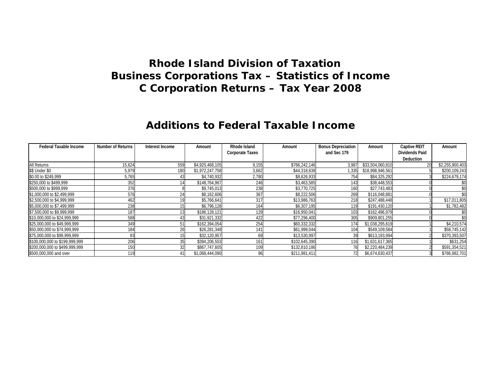#### **Additions to Federal Taxable Income**

| <b>Federal Taxable Income</b>  | <b>Number of Returns</b> | Interest Income | Amount          | Rhode Island           | Amount        | <b>Bonus Depreciation</b> | Amount           | <b>Captive REIT</b>   | Amount          |
|--------------------------------|--------------------------|-----------------|-----------------|------------------------|---------------|---------------------------|------------------|-----------------------|-----------------|
|                                |                          |                 |                 | <b>Corporate Taxes</b> |               | and Sec 179               |                  | <b>Dividends Paid</b> |                 |
|                                |                          |                 |                 |                        |               |                           |                  | <b>Deduction</b>      |                 |
| <b>All Returns</b>             | 15,624                   | 559             | \$4,925,468,105 | 9,155                  | \$766,242,146 | 3,987                     | \$33,504,060,810 | 20                    | \$2,255,900,403 |
| \$\$ Under \$0                 | 5,979                    | 180             | \$1,972,247,758 | 3,662                  | \$44,318,638  | 1,335                     | \$18,998,946,561 |                       | \$200,109,243   |
| \$0.00 to \$249,999            | 5,765                    | 43              | \$4,740,932     | 2,780                  | \$8,626,933   | 754                       | \$84,325,292     |                       | \$224,679,174   |
| \$250,000 to \$499,999         | 352                      | 14              | \$148,764,967   | 246                    | \$3,463,585   | 143                       | \$38,448,553     |                       | \$0             |
| \$500,000 to \$999,999         | 376                      |                 | \$9,745,013     | 238                    | \$3,770,725   | 160                       | \$27,743,483     |                       | \$0             |
| \$1,000,000 to \$2,499,999     | 576                      | 24              | \$8,162,606     | 367                    | \$8,222,506   | 269                       | \$116,048,881    |                       | \$0             |
| \$2,500,000 to \$4,999,999     | 462                      |                 | \$5,766,641     | 317                    | \$13,986,763  | 218                       | \$247,488,448    |                       | \$17,011,805    |
| \$5,000,000 to \$7,499,999     | 238                      | 15              | \$6,796,128     | 164                    | \$6,307,195   | 119                       | \$191,430,120    |                       | \$1,782,482     |
| \$7,500,000 to \$9,999,999     | 187                      | 13              | \$186,128,121   | 129                    | \$16,950,041  | 103                       | \$162,496,979    |                       |                 |
| \$10,000,000 to \$24,999,999   | 588                      | 43              | \$31,921,332    | 422                    | \$77,296,400  | 305                       | \$909,801,255    |                       | \$0             |
| \$25,000,000 to \$49,999,999   | 349                      | 51              | \$162,394,054   | 254                    | \$60,332,332  | 174                       | \$1,038,295,619  |                       | \$4,210,574     |
| \$50,000,000 to \$74,999,999   | 184                      | 26              | \$26,281,348    | 141                    | \$61,999,044  | 104                       | \$549,109,584    |                       | \$58,745,142    |
| \$75,000,000 to \$99,999,999   | 93                       |                 | \$32,120,957    | 69                     | \$13,530,997  | 39                        | \$613,193,994    |                       | \$370,393,507   |
| \$100,000,000 to \$199,999.999 | 206                      | 35              | \$394,206,553   | 161                    | \$102,645,390 | 116                       | \$1,631,617,365  |                       | \$631,254       |
| \$200,000,000 to \$499,999,999 | 150                      | 32              | \$867,747,605   | 109                    | \$132,810,186 |                           | \$2,220,484,239  |                       | \$591,354,521   |
| \$500,000,000 and over         | 119                      | 41              | \$1,068,444,090 |                        | \$211,981,411 |                           | \$6,674,630,437  |                       | \$786,982,701   |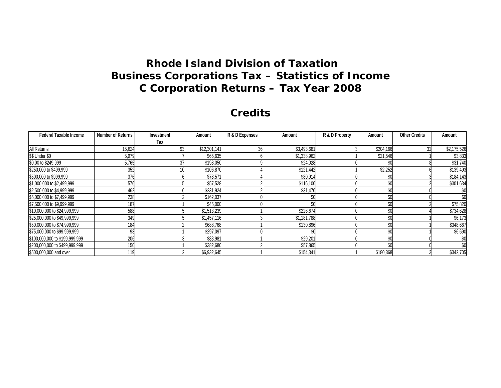#### **Credits**

| <b>Federal Taxable Income</b>  | <b>Number of Returns</b> | Investment | Amount       | R & D Expenses | Amount      | R & D Property | Amount    | <b>Other Credits</b> | Amount      |
|--------------------------------|--------------------------|------------|--------------|----------------|-------------|----------------|-----------|----------------------|-------------|
|                                |                          | Tax        |              |                |             |                |           |                      |             |
| All Returns                    | 15,624                   | 93         | \$12,301,141 |                | \$3,493,681 |                | \$204,166 | 32                   | \$2,175,526 |
| \$\$ Under \$0                 | 5,979                    |            | \$65,635     |                | \$1,338,962 |                | \$21,546  |                      | \$3,833     |
| \$0.00 to \$249,999            | 5,765                    | 37         | \$198,050    |                | \$24,028    |                | \$C       |                      | \$31,740    |
| \$250,000 to \$499,999         | 352                      |            | \$106,870    |                | \$121,442   |                | \$2,252   |                      | \$139,493   |
| \$500,000 to \$999,999         | 376                      |            | \$78,571     |                | \$80,914    |                | \$0       |                      | \$184,143   |
| \$1,000,000 to \$2,499,999     | 576                      |            | \$57,528     |                | \$116,100   |                | \$0       |                      | \$301,634   |
| \$2,500,000 to \$4,999,999     | 462                      |            | \$231,924    |                | \$31,470    |                | \$0       |                      |             |
| \$5,000,000 to \$7,499,999     | 238                      |            | \$162,037    |                | \$0         |                | \$0       |                      |             |
| \$7,500,000 to \$9,999,999     | 187                      |            | \$45,000     |                | \$0         |                | \$0       |                      | \$75,820    |
| \$10,000,000 to \$24,999,999   | 588                      |            | \$1,513,239  |                | \$226,674   |                | \$0       |                      | \$734,628   |
| \$25,000,000 to \$49,999,999   | 349                      |            | \$1,457,116  |                | \$1,181,788 |                | \$0       |                      | \$6,173     |
| \$50,000,000 to \$74,999,999   | 184                      |            | \$688,768    |                | \$130,896   |                | \$0       |                      | \$348,667   |
| \$75,000,000 to \$99,999,999   | 93                       |            | \$297,097    |                | \$0         |                | \$0       |                      | \$6,690     |
| \$100,000,000 to \$199,999,999 | 206                      |            | \$83,981     |                | \$29,201    |                | \$0       |                      |             |
| \$200,000,000 to \$499,999,999 | 150                      |            | \$382,680    |                | \$57,865    |                | \$C       |                      |             |
| \$500,000,000 and over         | 119                      |            | \$6,932,645  |                | \$154,341   |                | \$180,368 |                      | \$342,705   |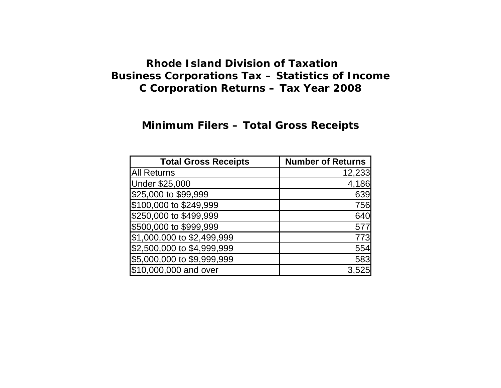#### **Minimum Filers – Total Gross Receipts**

| <b>Total Gross Receipts</b> | <b>Number of Returns</b> |
|-----------------------------|--------------------------|
| <b>All Returns</b>          | 12,233                   |
| <b>Under \$25,000</b>       | 4,186                    |
| \$25,000 to \$99,999        | 639                      |
| \$100,000 to \$249,999      | 756                      |
| \$250,000 to \$499,999      | 640                      |
| \$500,000 to \$999,999      | 577                      |
| \$1,000,000 to \$2,499,999  | 773                      |
| \$2,500,000 to \$4,999,999  | 554                      |
| \$5,000,000 to \$9,999,999  | 583                      |
| \$10,000,000 and over       |                          |